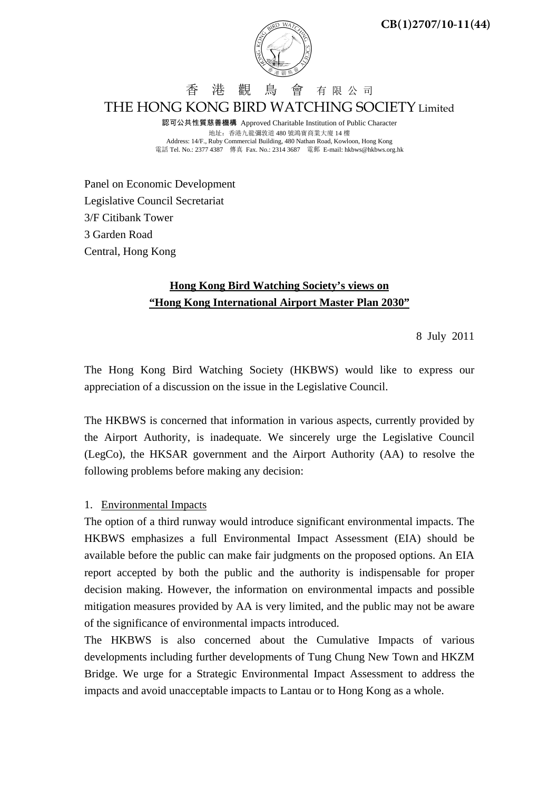

香 港 觀 鳥 會 有 限 公 司 THE HONG KONG BIRD WATCHING SOCIETY Limited

認可公共性質慈善機構 Approved Charitable Institution of Public Character 地址:香港九龍彌敦道 480 號鴻寶商業大廈 14 樓 Address: 14/F., Ruby Commercial Building, 480 Nathan Road, Kowloon, Hong Kong 電話 Tel. No.: 2377 4387 傳真 Fax. No.: 2314 3687 電郵 E-mail: hkbws@hkbws.org.hk

Panel on Economic Development Legislative Council Secretariat 3/F Citibank Tower 3 Garden Road Central, Hong Kong

## **Hong Kong Bird Watching Society's views on "Hong Kong International Airport Master Plan 2030"**

8 July 2011

The Hong Kong Bird Watching Society (HKBWS) would like to express our appreciation of a discussion on the issue in the Legislative Council.

The HKBWS is concerned that information in various aspects, currently provided by the Airport Authority, is inadequate. We sincerely urge the Legislative Council (LegCo), the HKSAR government and the Airport Authority (AA) to resolve the following problems before making any decision:

## 1. Environmental Impacts

The option of a third runway would introduce significant environmental impacts. The HKBWS emphasizes a full Environmental Impact Assessment (EIA) should be available before the public can make fair judgments on the proposed options. An EIA report accepted by both the public and the authority is indispensable for proper decision making. However, the information on environmental impacts and possible mitigation measures provided by AA is very limited, and the public may not be aware of the significance of environmental impacts introduced.

The HKBWS is also concerned about the Cumulative Impacts of various developments including further developments of Tung Chung New Town and HKZM Bridge. We urge for a Strategic Environmental Impact Assessment to address the impacts and avoid unacceptable impacts to Lantau or to Hong Kong as a whole.